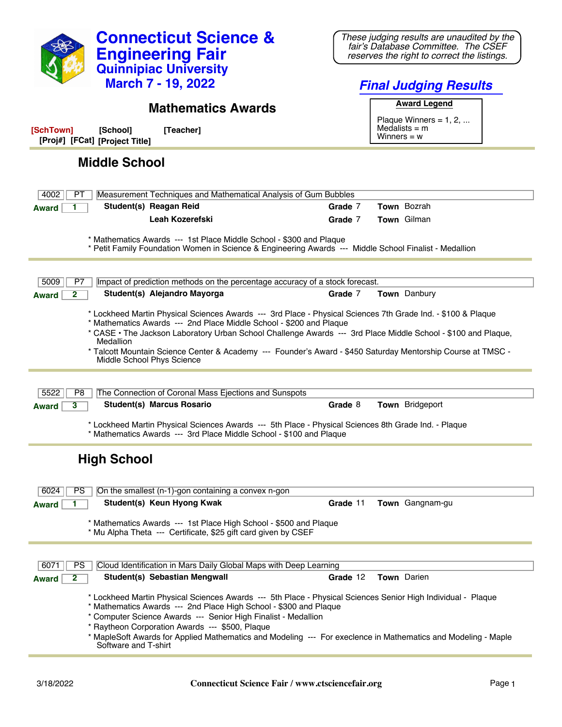| <b>Connecticut Science &amp;</b><br><b>Engineering Fair</b><br><b>Quinnipiac University</b>                                                                                                                                                                                                                                                                                                                                                     | These judging results are unaudited by the<br>fair's Database Committee. The CSEF<br>reserves the right to correct the listings. |
|-------------------------------------------------------------------------------------------------------------------------------------------------------------------------------------------------------------------------------------------------------------------------------------------------------------------------------------------------------------------------------------------------------------------------------------------------|----------------------------------------------------------------------------------------------------------------------------------|
| <b>March 7 - 19, 2022</b>                                                                                                                                                                                                                                                                                                                                                                                                                       | <b>Final Judging Results</b>                                                                                                     |
| <b>Mathematics Awards</b>                                                                                                                                                                                                                                                                                                                                                                                                                       | <b>Award Legend</b>                                                                                                              |
|                                                                                                                                                                                                                                                                                                                                                                                                                                                 | Plaque Winners = $1, 2, $                                                                                                        |
| [SchTown]<br>[Teacher]<br>[School]<br>[Proj#] [FCat] [Project Title]                                                                                                                                                                                                                                                                                                                                                                            | Medalists $=$ m<br>Winners $= w$                                                                                                 |
| <b>Middle School</b>                                                                                                                                                                                                                                                                                                                                                                                                                            |                                                                                                                                  |
| 4002<br>PT<br>Measurement Techniques and Mathematical Analysis of Gum Bubbles                                                                                                                                                                                                                                                                                                                                                                   |                                                                                                                                  |
| Student(s) Reagan Reid<br><b>Award</b>                                                                                                                                                                                                                                                                                                                                                                                                          | Grade 7<br><b>Town</b> Bozrah                                                                                                    |
| <b>Leah Kozerefski</b>                                                                                                                                                                                                                                                                                                                                                                                                                          | Town Gilman<br>Grade 7                                                                                                           |
| * Mathematics Awards --- 1st Place Middle School - \$300 and Plaque<br>* Petit Family Foundation Women in Science & Engineering Awards --- Middle School Finalist - Medallion                                                                                                                                                                                                                                                                   |                                                                                                                                  |
|                                                                                                                                                                                                                                                                                                                                                                                                                                                 |                                                                                                                                  |
| 5009<br>Impact of prediction methods on the percentage accuracy of a stock forecast.<br>P7<br>Student(s) Alejandro Mayorga                                                                                                                                                                                                                                                                                                                      | Town Danbury<br>Grade 7                                                                                                          |
| $\overline{2}$<br><b>Award</b>                                                                                                                                                                                                                                                                                                                                                                                                                  |                                                                                                                                  |
| * CASE • The Jackson Laboratory Urban School Challenge Awards --- 3rd Place Middle School - \$100 and Plaque,<br>Medallion<br>* Talcott Mountain Science Center & Academy --- Founder's Award - \$450 Saturday Mentorship Course at TMSC -<br>Middle School Phys Science                                                                                                                                                                        |                                                                                                                                  |
| The Connection of Coronal Mass Ejections and Sunspots<br>5522<br>P8                                                                                                                                                                                                                                                                                                                                                                             |                                                                                                                                  |
| <b>Student(s) Marcus Rosario</b><br>3<br><b>Award</b>                                                                                                                                                                                                                                                                                                                                                                                           | Grade 8<br>Town Bridgeport                                                                                                       |
| * Lockheed Martin Physical Sciences Awards --- 5th Place - Physical Sciences 8th Grade Ind. - Plaque<br>* Mathematics Awards --- 3rd Place Middle School - \$100 and Plaque                                                                                                                                                                                                                                                                     |                                                                                                                                  |
| <b>High School</b>                                                                                                                                                                                                                                                                                                                                                                                                                              |                                                                                                                                  |
| 6024<br><b>PS</b><br>On the smallest (n-1)-gon containing a convex n-gon                                                                                                                                                                                                                                                                                                                                                                        |                                                                                                                                  |
| Student(s) Keun Hyong Kwak<br><b>Award</b>                                                                                                                                                                                                                                                                                                                                                                                                      | Grade 11<br>Town Gangnam-gu                                                                                                      |
| * Mathematics Awards --- 1st Place High School - \$500 and Plaque<br>* Mu Alpha Theta --- Certificate, \$25 gift card given by CSEF                                                                                                                                                                                                                                                                                                             |                                                                                                                                  |
|                                                                                                                                                                                                                                                                                                                                                                                                                                                 |                                                                                                                                  |
| Cloud Identification in Mars Daily Global Maps with Deep Learning<br><b>PS</b><br>6071                                                                                                                                                                                                                                                                                                                                                          |                                                                                                                                  |
| Student(s) Sebastian Mengwall<br>$\mathbf{2}$<br><b>Award</b>                                                                                                                                                                                                                                                                                                                                                                                   | Town Darien<br>Grade 12                                                                                                          |
| * Lockheed Martin Physical Sciences Awards --- 5th Place - Physical Sciences Senior High Individual - Plaque<br>* Mathematics Awards --- 2nd Place High School - \$300 and Plaque<br>* Computer Science Awards --- Senior High Finalist - Medallion<br>* Raytheon Corporation Awards --- \$500, Plaque<br>* MapleSoft Awards for Applied Mathematics and Modeling --- For execlence in Mathematics and Modeling - Maple<br>Software and T-shirt |                                                                                                                                  |